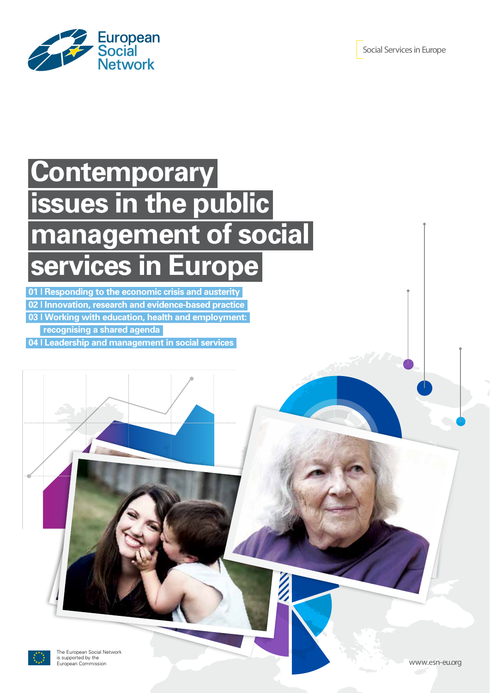

# **Contemporary issues in the public management of social services in Europe**

**01 | Responding to the economic crisis and austerity**

**02 | Innovation, research and evidence-based practice**

**03 | Working with education, health and employment:** 

 **recognising a shared agenda**

**04 | Leadership and management in social services**

The European Social Network is supported by the<br>European Commission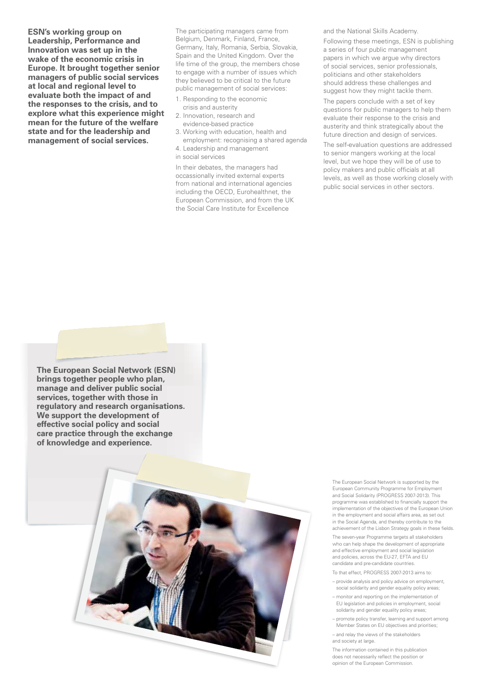**ESN's working group on Leadership, Performance and Innovation was set up in the wake of the economic crisis in Europe. It brought together senior managers of public social services at local and regional level to evaluate both the impact of and the responses to the crisis, and to explore what this experience might mean for the future of the welfare state and for the leadership and management of social services.** 

The participating managers came from Belgium, Denmark, Finland, France, Germany, Italy, Romania, Serbia, Slovakia, Spain and the United Kingdom. Over the life time of the group, the members chose to engage with a number of issues which they believed to be critical to the future public management of social services:

- 1. Responding to the economic crisis and austerity
- 2. Innovation, research and
- evidence-based practice
- 3. Working with education, health and employment: recognising a shared agenda
- 4. Leadership and management in social services

In their debates, the managers had occassionally invited external experts from national and international agencies including the OECD, Eurohealthnet, the European Commission, and from the UK the Social Care Institute for Excellence

and the National Skills Academy.

Following these meetings, ESN is publishing a series of four public management papers in which we argue why directors of social services, senior professionals, politicians and other stakeholders should address these challenges and suggest how they might tackle them.

The papers conclude with a set of key questions for public managers to help them evaluate their response to the crisis and austerity and think strategically about the future direction and design of services.

The self-evaluation questions are addressed to senior mangers working at the local level, but we hope they will be of use to policy makers and public officials at all levels, as well as those working closely with public social services in other sectors.

**The European Social Network (ESN) brings together people who plan, manage and deliver public social services, together with those in regulatory and research organisations. We support the development of effective social policy and social care practice through the exchange of knowledge and experience.**



The European Social Network is supported by the European Community Programme for Employment and Social Solidarity (PROGRESS 2007-2013). This programme was established to financially support the implementation of the objectives of the European Union in the employment and social affairs area, as set out in the Social Agenda, and thereby contribute to the achievement of the Lisbon Strategy goals in these fields.

The seven-year Programme targets all stakeholders who can help shape the development of appropriate and effective employment and social legislation and policies, across the EU-27, EFTA and EU candidate and pre-candidate countries.

- To that effect, PROGRESS 2007-2013 aims to:
- provide analysis and policy advice on employment, social solidarity and gender equality policy areas;
- monitor and reporting on the implementation of EU legislation and policies in employment, social solidarity and gender equality policy areas;
- promote policy transfer, learning and support among Member States on EU objectives and priorities;
- and relay the views of the stakeholders and society at large.

The information contained in this publication does not necessarily reflect the position or opinion of the European Commission.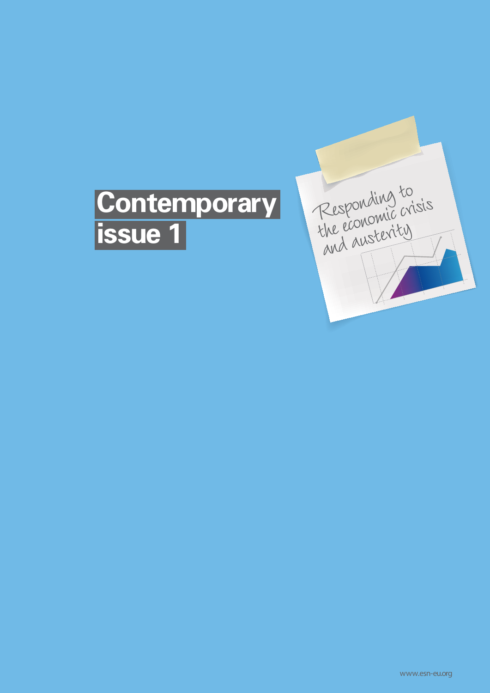## **Contemporary issue 1**

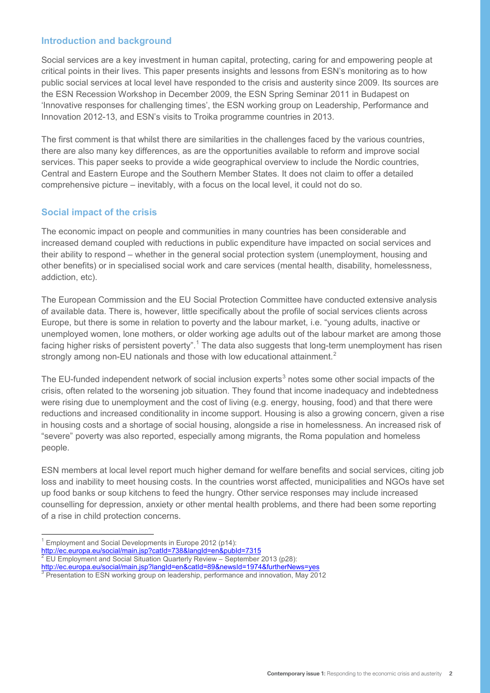#### **Introduction and background**

Social services are a key investment in human capital, protecting, caring for and empowering people at critical points in their lives. This paper presents insights and lessons from ESN's monitoring as to how public social services at local level have responded to the crisis and austerity since 2009. Its sources are the ESN Recession Workshop in December 2009, the ESN Spring Seminar 2011 in Budapest on 'Innovative responses for challenging times', the ESN working group on Leadership, Performance and Innovation 2012-13, and ESN's visits to Troika programme countries in 2013.

The first comment is that whilst there are similarities in the challenges faced by the various countries, there are also many key differences, as are the opportunities available to reform and improve social services. This paper seeks to provide a wide geographical overview to include the Nordic countries, Central and Eastern Europe and the Southern Member States. It does not claim to offer a detailed comprehensive picture – inevitably, with a focus on the local level, it could not do so.

#### **Social impact of the crisis**

The economic impact on people and communities in many countries has been considerable and increased demand coupled with reductions in public expenditure have impacted on social services and their ability to respond – whether in the general social protection system (unemployment, housing and other benefits) or in specialised social work and care services (mental health, disability, homelessness, addiction, etc).

The European Commission and the EU Social Protection Committee have conducted extensive analysis of available data. There is, however, little specifically about the profile of social services clients across Europe, but there is some in relation to poverty and the labour market, i.e. "young adults, inactive or unemployed women, lone mothers, or older working age adults out of the labour market are among those facing higher risks of persistent poverty".<sup>1</sup> The data also suggests that long-term unemployment has risen strongly among non-EU nationals and those with low educational attainment.<sup>2</sup>

The EU-funded independent network of social inclusion experts<sup>3</sup> notes some other social impacts of the crisis, often related to the worsening job situation. They found that income inadequacy and indebtedness were rising due to unemployment and the cost of living (e.g. energy, housing, food) and that there were reductions and increased conditionality in income support. Housing is also a growing concern, given a rise in housing costs and a shortage of social housing, alongside a rise in homelessness. An increased risk of "severe" poverty was also reported, especially among migrants, the Roma population and homeless people.

ESN members at local level report much higher demand for welfare benefits and social services, citing job loss and inability to meet housing costs. In the countries worst affected, municipalities and NGOs have set up food banks or soup kitchens to feed the hungry. Other service responses may include increased counselling for depression, anxiety or other mental health problems, and there had been some reporting of a rise in child protection concerns.

Employment and Social Developments in Europe 2012 (p14): http://ec.europa.eu/social/main.jsp?catId=738&langId=en&pubId=7315

<sup>2</sup> EU Employment and Social Situation Quarterly Review – September 2013 (p28):

<sup>&</sup>lt;u>http://ec.europa.eu/social/main.jsp?langId=en&catId=89&newsId=1974&furtherNews=yes</u><br><sup>3</sup> Presentation to ESN working group on leadership, performance and innovation, May 2012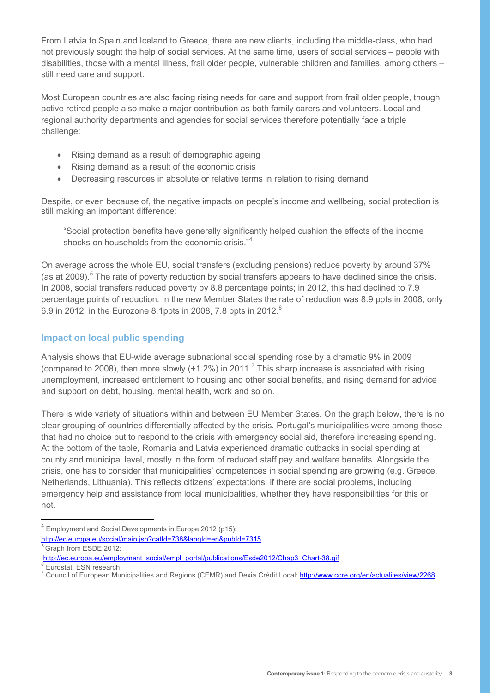From Latvia to Spain and Iceland to Greece, there are new clients, including the middle-class, who had not previously sought the help of social services. At the same time, users of social services – people with disabilities, those with a mental illness, frail older people, vulnerable children and families, among others – still need care and support.

Most European countries are also facing rising needs for care and support from frail older people, though active retired people also make a major contribution as both family carers and volunteers. Local and regional authority departments and agencies for social services therefore potentially face a triple challenge:

- Rising demand as a result of demographic ageing
- Rising demand as a result of the economic crisis
- Decreasing resources in absolute or relative terms in relation to rising demand

Despite, or even because of, the negative impacts on people's income and wellbeing, social protection is still making an important difference:

"Social protection benefits have generally significantly helped cushion the effects of the income shocks on households from the economic crisis."<sup>4</sup>

On average across the whole EU, social transfers (excluding pensions) reduce poverty by around 37% (as at 2009).<sup>5</sup> The rate of poverty reduction by social transfers appears to have declined since the crisis. In 2008, social transfers reduced poverty by 8.8 percentage points; in 2012, this had declined to 7.9 percentage points of reduction. In the new Member States the rate of reduction was 8.9 ppts in 2008, only 6.9 in 2012; in the Eurozone 8.1ppts in 2008, 7.8 ppts in 2012.<sup>6</sup>

## **Impact on local public spending**

Analysis shows that EU-wide average subnational social spending rose by a dramatic 9% in 2009 (compared to 2008), then more slowly  $(+1.2%)$  in 2011.<sup>7</sup> This sharp increase is associated with rising unemployment, increased entitlement to housing and other social benefits, and rising demand for advice and support on debt, housing, mental health, work and so on.

There is wide variety of situations within and between EU Member States. On the graph below, there is no clear grouping of countries differentially affected by the crisis. Portugal's municipalities were among those that had no choice but to respond to the crisis with emergency social aid, therefore increasing spending. At the bottom of the table, Romania and Latvia experienced dramatic cutbacks in social spending at county and municipal level, mostly in the form of reduced staff pay and welfare benefits. Alongside the crisis, one has to consider that municipalities' competences in social spending are growing (e.g. Greece, Netherlands, Lithuania). This reflects citizens' expectations: if there are social problems, including emergency help and assistance from local municipalities, whether they have responsibilities for this or not.

 $4$  Employment and Social Developments in Europe 2012 (p15):

http://ec.europa.eu/social/main.jsp?catId=738&langId=en&pubId=7315

- http://ec.europa.eu/employment\_social/empl\_portal/publications/Esde2012/Chap3\_Chart-38.gif<br><sup>6</sup> Eurostat, ESN research
- 

<sup>5</sup> Graph from ESDE 2012:

<sup>&</sup>lt;sup>7</sup> Council of European Municipalities and Regions (CEMR) and Dexia Crédit Local: http://www.ccre.org/en/actualites/view/2268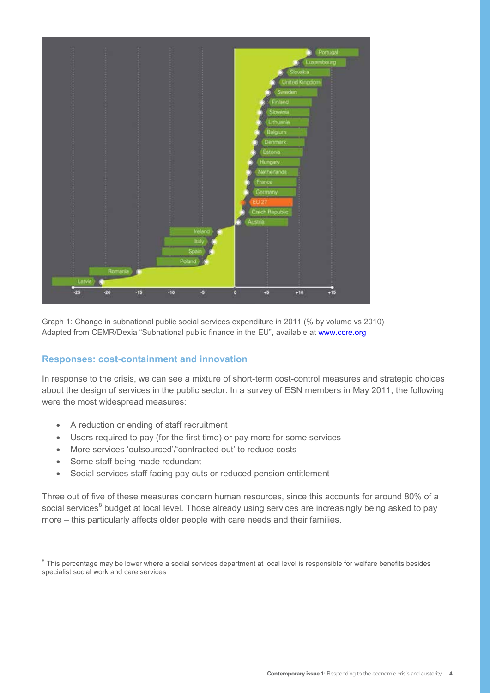

Graph 1: Change in subnational public social services expenditure in 2011 (% by volume vs 2010) Adapted from CEMR/Dexia "Subnational public finance in the EU", available at www.ccre.org

#### **Responses: cost-containment and innovation**

In response to the crisis, we can see a mixture of short-term cost-control measures and strategic choices about the design of services in the public sector. In a survey of ESN members in May 2011, the following were the most widespread measures:

- A reduction or ending of staff recruitment
- Users required to pay (for the first time) or pay more for some services
- More services 'outsourced'/'contracted out' to reduce costs
- Some staff being made redundant
- Social services staff facing pay cuts or reduced pension entitlement

Three out of five of these measures concern human resources, since this accounts for around 80% of a social services<sup>8</sup> budget at local level. Those already using services are increasingly being asked to pay more – this particularly affects older people with care needs and their families.

<sup>&</sup>lt;sup>8</sup> This percentage may be lower where a social services department at local level is responsible for welfare benefits besides specialist social work and care services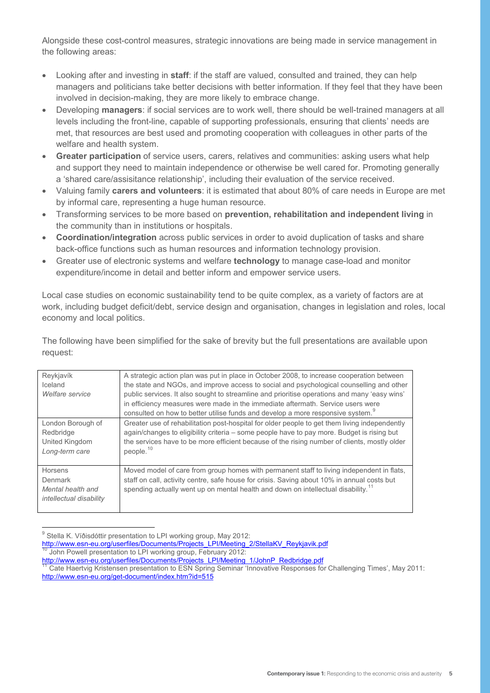Alongside these cost-control measures, strategic innovations are being made in service management in the following areas:

- Looking after and investing in **staff**: if the staff are valued, consulted and trained, they can help managers and politicians take better decisions with better information. If they feel that they have been involved in decision-making, they are more likely to embrace change.
- Developing **managers**: if social services are to work well, there should be well-trained managers at all levels including the front-line, capable of supporting professionals, ensuring that clients' needs are met, that resources are best used and promoting cooperation with colleagues in other parts of the welfare and health system.
- **Greater participation** of service users, carers, relatives and communities: asking users what help and support they need to maintain independence or otherwise be well cared for. Promoting generally a 'shared care/assisitance relationship', including their evaluation of the service received.
- Valuing family **carers and volunteers**: it is estimated that about 80% of care needs in Europe are met by informal care, representing a huge human resource.
- Transforming services to be more based on **prevention, rehabilitation and independent living** in the community than in institutions or hospitals.
- **Coordination/integration** across public services in order to avoid duplication of tasks and share back-office functions such as human resources and information technology provision.
- Greater use of electronic systems and welfare **technology** to manage case-load and monitor expenditure/income in detail and better inform and empower service users.

Local case studies on economic sustainability tend to be quite complex, as a variety of factors are at work, including budget deficit/debt, service design and organisation, changes in legislation and roles, local economy and local politics.

The following have been simplified for the sake of brevity but the full presentations are available upon request:

| Reykjavík<br>Iceland<br>Welfare service                            | A strategic action plan was put in place in October 2008, to increase cooperation between<br>the state and NGOs, and improve access to social and psychological counselling and other<br>public services. It also sought to streamline and prioritise operations and many 'easy wins'<br>in efficiency measures were made in the immediate aftermath. Service users were |
|--------------------------------------------------------------------|--------------------------------------------------------------------------------------------------------------------------------------------------------------------------------------------------------------------------------------------------------------------------------------------------------------------------------------------------------------------------|
|                                                                    | consulted on how to better utilise funds and develop a more responsive system. <sup>9</sup>                                                                                                                                                                                                                                                                              |
| London Borough of<br>Redbridge<br>United Kingdom<br>Long-term care | Greater use of rehabilitation post-hospital for older people to get them living independently<br>again/changes to eligibility criteria – some people have to pay more. Budget is rising but<br>the services have to be more efficient because of the rising number of clients, mostly older<br>people. <sup>10</sup>                                                     |
| Horsens<br>Denmark<br>Mental health and<br>intellectual disability | Moved model of care from group homes with permanent staff to living independent in flats,<br>staff on call, activity centre, safe house for crisis. Saving about 10% in annual costs but<br>spending actually went up on mental health and down on intellectual disability. <sup>11</sup>                                                                                |

 $9$  Stella K. Víðisdóttir presentation to LPI working group, May 2012:

http://www.esn-eu.org/userfiles/Documents/Projects\_LPI/Meeting\_2/StellaKV\_Reykjavik.pdf<br><sup>10</sup> John Powell presentation to LPI working group, February 2012:<br><u>http://www.esn-eu.org/userfiles/Documents/Projects\_LPI/Meeting\_1/J</u>

Cate Haertvig Kristensen presentation to ESN Spring Seminar 'Innovative Responses for Challenging Times', May 2011: http://www.esn-eu.org/get-document/index.htm?id=515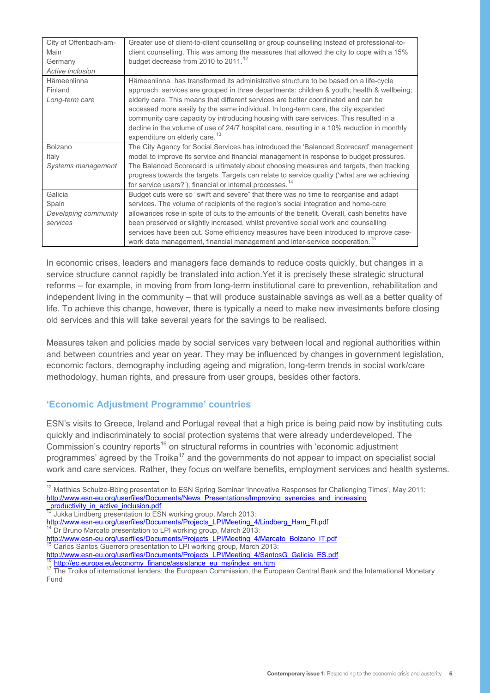| City of Offenbach-am-<br>Main<br>Germany<br>Active inclusion | Greater use of client-to-client counselling or group counselling instead of professional-to-<br>client counselling. This was among the measures that allowed the city to cope with a 15%<br>budget decrease from 2010 to 2011. <sup>12</sup> |
|--------------------------------------------------------------|----------------------------------------------------------------------------------------------------------------------------------------------------------------------------------------------------------------------------------------------|
| Hämeenlinna                                                  | Hämeenlinna has transformed its administrative structure to be based on a life-cycle                                                                                                                                                         |
| Finland                                                      | approach: services are grouped in three departments: children & youth; health & wellbeing;                                                                                                                                                   |
| Long-term care                                               | elderly care. This means that different services are better coordinated and can be                                                                                                                                                           |
|                                                              | accessed more easily by the same individual. In long-term care, the city expanded                                                                                                                                                            |
|                                                              | community care capacity by introducing housing with care services. This resulted in a                                                                                                                                                        |
|                                                              | decline in the volume of use of 24/7 hospital care, resulting in a 10% reduction in monthly<br>expenditure on elderly care. <sup>13</sup>                                                                                                    |
| <b>Bolzano</b>                                               | The City Agency for Social Services has introduced the 'Balanced Scorecard' management                                                                                                                                                       |
| Italy                                                        | model to improve its service and financial management in response to budget pressures.                                                                                                                                                       |
| Systems management                                           | The Balanced Scorecard is ultimately about choosing measures and targets, then tracking                                                                                                                                                      |
|                                                              | progress towards the targets. Targets can relate to service quality ('what are we achieving                                                                                                                                                  |
|                                                              | for service users?'), financial or internal processes. <sup>14</sup>                                                                                                                                                                         |
| Galicia                                                      | Budget cuts were so "swift and severe" that there was no time to reorganise and adapt                                                                                                                                                        |
| Spain                                                        | services. The volume of recipients of the region's social integration and home-care                                                                                                                                                          |
| Developing community                                         | allowances rose in spite of cuts to the amounts of the benefit. Overall, cash benefits have                                                                                                                                                  |
| services                                                     | been preserved or slightly increased, whilst preventive social work and counselling                                                                                                                                                          |
|                                                              | services have been cut. Some efficiency measures have been introduced to improve case-                                                                                                                                                       |
|                                                              | work data management, financial management and inter-service cooperation. <sup>15</sup>                                                                                                                                                      |

In economic crises, leaders and managers face demands to reduce costs quickly, but changes in a service structure cannot rapidly be translated into action. Yet it is precisely these strategic structural reforms – for example, in moving from from long-term institutional care to prevention, rehabilitation and independent living in the community – that will produce sustainable savings as well as a better quality of life. To achieve this change, however, there is typically a need to make new investments before closing old services and this will take several years for the savings to be realised.

Measures taken and policies made by social services vary between local and regional authorities within and between countries and year on year. They may be influenced by changes in government legislation, economic factors, demography including ageing and migration, long-term trends in social work/care methodology, human rights, and pressure from user groups, besides other factors.

## **'Economic Adjustment Programme' countries**

ESN's visits to Greece, Ireland and Portugal reveal that a high price is being paid now by instituting cuts quickly and indiscriminately to social protection systems that were already underdeveloped. The Commission's country reports<sup>16</sup> on structural reforms in countries with 'economic adjustment programmes' agreed by the Troika<sup>17</sup> and the governments do not appear to impact on specialist social work and care services. Rather, they focus on welfare benefits, employment services and health systems.

- <sup>15</sup> Carlos Santos Guerrero presentation to LPI working group, March 2013:<br>http://www.esn-eu.org/userfiles/Documents/Projects LPI/Meeting 4/SantosG Galicia ES.pdf
- 

<sup>&</sup>lt;sup>12</sup> Matthias Schulze-Böing presentation to ESN Spring Seminar 'Innovative Responses for Challenging Times', May 2011: http://www.esn-eu.org/userfiles/Documents/News\_Presentations/Improving\_synergies\_and\_increasing

\_<mark>productivity\_in\_active\_inclusion.pdf</mark><br><sup>13</sup> Jukka Lindberg presentation to ESN working group, March 2013:

http://www.esn-eu.org/userfiles/Documents/Projects\_LPI/Meeting\_4/Lindberg\_Ham\_FI.pdf<br><sup>14</sup> Dr Bruno Marcato presentation to LPI working group, March 2013:<br>http://www.esn-eu.org/userfiles/Documents/Projects\_LPI/Meeting\_4/Mar

<sup>&</sup>lt;sup>16</sup> http://ec.europa.eu/economy\_finance/assistance\_eu\_ms/index\_en.htm<br><sup>17</sup> The Troika of international lenders: the European Commission, the European Central Bank and the International Monetary Fund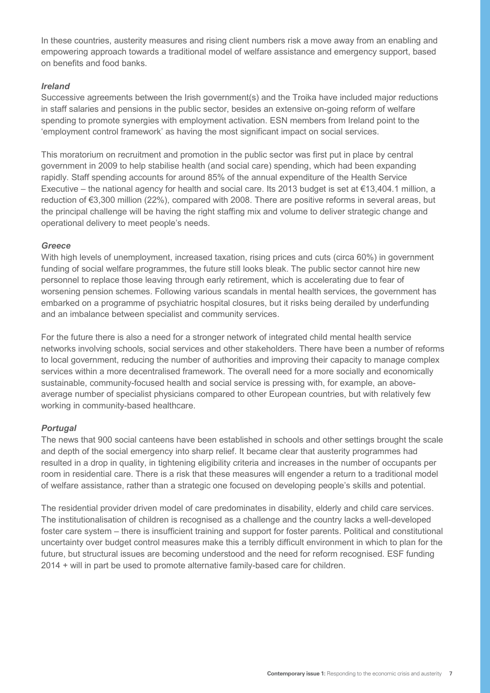In these countries, austerity measures and rising client numbers risk a move away from an enabling and empowering approach towards a traditional model of welfare assistance and emergency support, based on benefits and food banks.

#### *Ireland*

Successive agreements between the Irish government(s) and the Troika have included major reductions in staff salaries and pensions in the public sector, besides an extensive on-going reform of welfare spending to promote synergies with employment activation. ESN members from Ireland point to the 'employment control framework' as having the most significant impact on social services.

This moratorium on recruitment and promotion in the public sector was first put in place by central government in 2009 to help stabilise health (and social care) spending, which had been expanding rapidly. Staff spending accounts for around 85% of the annual expenditure of the Health Service Executive – the national agency for health and social care. Its 2013 budget is set at €13,404.1 million, a reduction of €3,300 million (22%), compared with 2008. There are positive reforms in several areas, but the principal challenge will be having the right staffing mix and volume to deliver strategic change and operational delivery to meet people's needs.

#### *Greece*

With high levels of unemployment, increased taxation, rising prices and cuts (circa 60%) in government funding of social welfare programmes, the future still looks bleak. The public sector cannot hire new personnel to replace those leaving through early retirement, which is accelerating due to fear of worsening pension schemes. Following various scandals in mental health services, the government has embarked on a programme of psychiatric hospital closures, but it risks being derailed by underfunding and an imbalance between specialist and community services.

For the future there is also a need for a stronger network of integrated child mental health service networks involving schools, social services and other stakeholders. There have been a number of reforms to local government, reducing the number of authorities and improving their capacity to manage complex services within a more decentralised framework. The overall need for a more socially and economically sustainable, community-focused health and social service is pressing with, for example, an aboveaverage number of specialist physicians compared to other European countries, but with relatively few working in community-based healthcare.

#### *Portugal*

The news that 900 social canteens have been established in schools and other settings brought the scale and depth of the social emergency into sharp relief. It became clear that austerity programmes had resulted in a drop in quality, in tightening eligibility criteria and increases in the number of occupants per room in residential care. There is a risk that these measures will engender a return to a traditional model of welfare assistance, rather than a strategic one focused on developing people's skills and potential.

The residential provider driven model of care predominates in disability, elderly and child care services. The institutionalisation of children is recognised as a challenge and the country lacks a well-developed foster care system – there is insufficient training and support for foster parents. Political and constitutional uncertainty over budget control measures make this a terribly difficult environment in which to plan for the future, but structural issues are becoming understood and the need for reform recognised. ESF funding 2014 + will in part be used to promote alternative family-based care for children.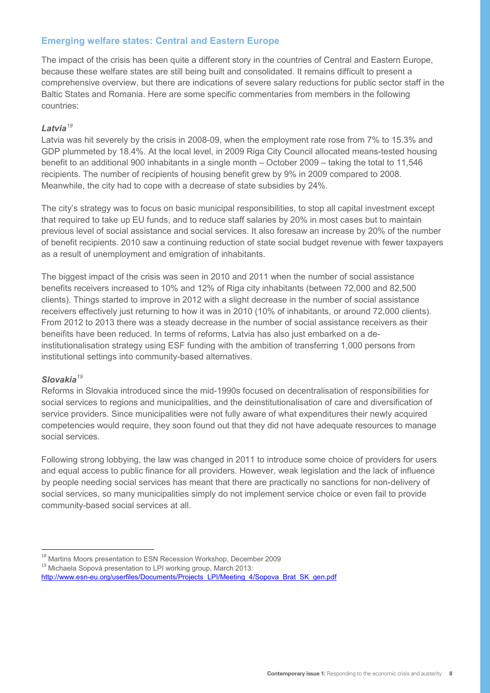## **Emerging welfare states: Central and Eastern Europe**

The impact of the crisis has been quite a different story in the countries of Central and Eastern Europe, because these welfare states are still being built and consolidated. It remains difficult to present a comprehensive overview, but there are indications of severe salary reductions for public sector staff in the Baltic States and Romania. Here are some specific commentaries from members in the following countries:

#### *Latvia<sup>18</sup>*

Latvia was hit severely by the crisis in 2008-09, when the employment rate rose from 7% to 15.3% and GDP plummeted by 18.4%. At the local level, in 2009 Riga City Council allocated means-tested housing benefit to an additional 900 inhabitants in a single month – October 2009 – taking the total to 11,546 recipients. The number of recipients of housing benefit grew by 9% in 2009 compared to 2008. Meanwhile, the city had to cope with a decrease of state subsidies by 24%.

The city's strategy was to focus on basic municipal responsibilities, to stop all capital investment except that required to take up EU funds, and to reduce staff salaries by 20% in most cases but to maintain previous level of social assistance and social services. It also foresaw an increase by 20% of the number of benefit recipients. 2010 saw a continuing reduction of state social budget revenue with fewer taxpayers as a result of unemployment and emigration of inhabitants.

The biggest impact of the crisis was seen in 2010 and 2011 when the number of social assistance benefits receivers increased to 10% and 12% of Riga city inhabitants (between 72,000 and 82,500 clients). Things started to improve in 2012 with a slight decrease in the number of social assistance receivers effectively just returning to how it was in 2010 (10% of inhabitants, or around 72,000 clients). From 2012 to 2013 there was a steady decrease in the number of social assistance receivers as their beneifits have been reduced. In terms of reforms, Latvia has also just embarked on a deinstitutionalisation strategy using ESF funding with the ambition of transferring 1,000 persons from institutional settings into community-based alternatives.

#### *Slovakia<sup>19</sup>*

Reforms in Slovakia introduced since the mid-1990s focused on decentralisation of responsibilities for social services to regions and municipalities, and the deinstitutionalisation of care and diversification of service providers. Since municipalities were not fully aware of what expenditures their newly acquired competencies would require, they soon found out that they did not have adequate resources to manage social services.

Following strong lobbying, the law was changed in 2011 to introduce some choice of providers for users and equal access to public finance for all providers. However, weak legislation and the lack of influence by people needing social services has meant that there are practically no sanctions for non-delivery of social services, so many municipalities simply do not implement service choice or even fail to provide community-based social services at all.

 $^{18}$  Martins Moors presentation to ESN Recession Workshop, December 2009  $^{19}$  Michaela Sopová presentation to LPI working group, March 2013:

http://www.esn-eu.org/userfiles/Documents/Projects\_LPI/Meeting\_4/Sopova\_Brat\_SK\_gen.pdf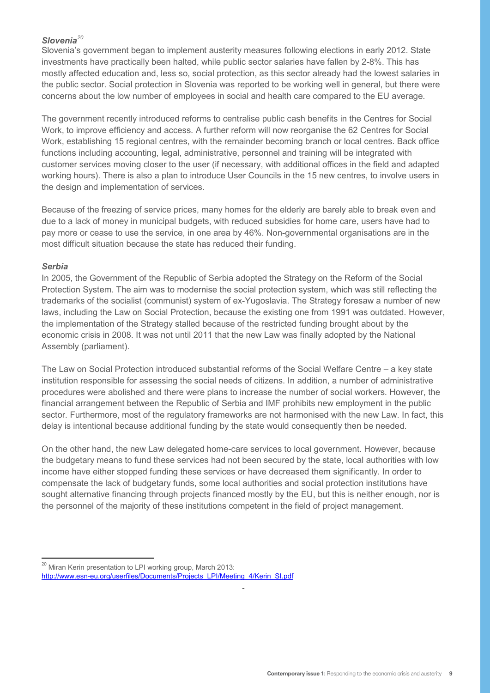### *Slovenia<sup>20</sup>*

Slovenia's government began to implement austerity measures following elections in early 2012. State investments have practically been halted, while public sector salaries have fallen by 2-8%. This has mostly affected education and, less so, social protection, as this sector already had the lowest salaries in the public sector. Social protection in Slovenia was reported to be working well in general, but there were concerns about the low number of employees in social and health care compared to the EU average.

The government recently introduced reforms to centralise public cash benefits in the Centres for Social Work, to improve efficiency and access. A further reform will now reorganise the 62 Centres for Social Work, establishing 15 regional centres, with the remainder becoming branch or local centres. Back office functions including accounting, legal, administrative, personnel and training will be integrated with customer services moving closer to the user (if necessary, with additional offices in the field and adapted working hours). There is also a plan to introduce User Councils in the 15 new centres, to involve users in the design and implementation of services.

Because of the freezing of service prices, many homes for the elderly are barely able to break even and due to a lack of money in municipal budgets, with reduced subsidies for home care, users have had to pay more or cease to use the service, in one area by 46%. Non-governmental organisations are in the most difficult situation because the state has reduced their funding.

#### *Serbia*

In 2005, the Government of the Republic of Serbia adopted the Strategy on the Reform of the Social Protection System. The aim was to modernise the social protection system, which was still reflecting the trademarks of the socialist (communist) system of ex-Yugoslavia. The Strategy foresaw a number of new laws, including the Law on Social Protection, because the existing one from 1991 was outdated. However, the implementation of the Strategy stalled because of the restricted funding brought about by the economic crisis in 2008. It was not until 2011 that the new Law was finally adopted by the National Assembly (parliament).

The Law on Social Protection introduced substantial reforms of the Social Welfare Centre – a key state institution responsible for assessing the social needs of citizens. In addition, a number of administrative procedures were abolished and there were plans to increase the number of social workers. However, the financial arrangement between the Republic of Serbia and IMF prohibits new employment in the public sector. Furthermore, most of the regulatory frameworks are not harmonised with the new Law. In fact, this delay is intentional because additional funding by the state would consequently then be needed.

On the other hand, the new Law delegated home-care services to local government. However, because the budgetary means to fund these services had not been secured by the state, local authorities with low income have either stopped funding these services or have decreased them significantly. In order to compensate the lack of budgetary funds, some local authorities and social protection institutions have sought alternative financing through projects financed mostly by the EU, but this is neither enough, nor is the personnel of the majority of these institutions competent in the field of project management.

7

<sup>&</sup>lt;sup>20</sup> Miran Kerin presentation to LPI working group, March 2013: http://www.esn-eu.org/userfiles/Documents/Projects\_LPI/Meeting\_4/Kerin\_SI.pdf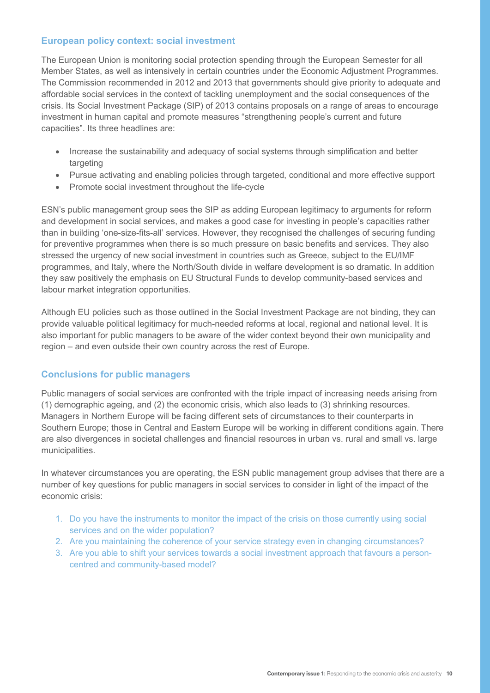## **European policy context: social investment**

The European Union is monitoring social protection spending through the European Semester for all Member States, as well as intensively in certain countries under the Economic Adjustment Programmes. The Commission recommended in 2012 and 2013 that governments should give priority to adequate and affordable social services in the context of tackling unemployment and the social consequences of the crisis. Its Social Investment Package (SIP) of 2013 contains proposals on a range of areas to encourage investment in human capital and promote measures "strengthening people's current and future capacities". Its three headlines are:

- Increase the sustainability and adequacy of social systems through simplification and better targeting
- Pursue activating and enabling policies through targeted, conditional and more effective support
- Promote social investment throughout the life-cycle

ESN's public management group sees the SIP as adding European legitimacy to arguments for reform and development in social services, and makes a good case for investing in people's capacities rather than in building 'one-size-fits-all' services. However, they recognised the challenges of securing funding for preventive programmes when there is so much pressure on basic benefits and services. They also stressed the urgency of new social investment in countries such as Greece, subject to the EU/IMF programmes, and Italy, where the North/South divide in welfare development is so dramatic. In addition they saw positively the emphasis on EU Structural Funds to develop community-based services and labour market integration opportunities.

Although EU policies such as those outlined in the Social Investment Package are not binding, they can provide valuable political legitimacy for much-needed reforms at local, regional and national level. It is also important for public managers to be aware of the wider context beyond their own municipality and region – and even outside their own country across the rest of Europe.

#### **Conclusions for public managers**

Public managers of social services are confronted with the triple impact of increasing needs arising from (1) demographic ageing, and (2) the economic crisis, which also leads to (3) shrinking resources. Managers in Northern Europe will be facing different sets of circumstances to their counterparts in Southern Europe; those in Central and Eastern Europe will be working in different conditions again. There are also divergences in societal challenges and financial resources in urban vs. rural and small vs. large municipalities.

In whatever circumstances you are operating, the ESN public management group advises that there are a number of key questions for public managers in social services to consider in light of the impact of the economic crisis:

- 1. Do you have the instruments to monitor the impact of the crisis on those currently using social services and on the wider population?
- 2. Are you maintaining the coherence of your service strategy even in changing circumstances?
- 3. Are you able to shift your services towards a social investment approach that favours a personcentred and community-based model?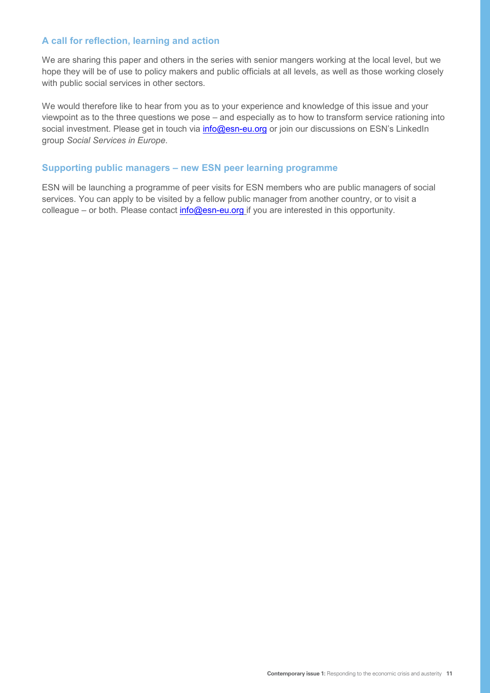## **A call for reflection, learning and action**

We are sharing this paper and others in the series with senior mangers working at the local level, but we hope they will be of use to policy makers and public officials at all levels, as well as those working closely with public social services in other sectors.

We would therefore like to hear from you as to your experience and knowledge of this issue and your viewpoint as to the three questions we pose – and especially as to how to transform service rationing into social investment. Please get in touch via *info@esn-eu.org* or join our discussions on ESN's LinkedIn group *Social Services in Europe*.

#### **Supporting public managers – new ESN peer learning programme**

ESN will be launching a programme of peer visits for ESN members who are public managers of social services. You can apply to be visited by a fellow public manager from another country, or to visit a colleague – or both. Please contact *info@esn-eu.org* if you are interested in this opportunity.